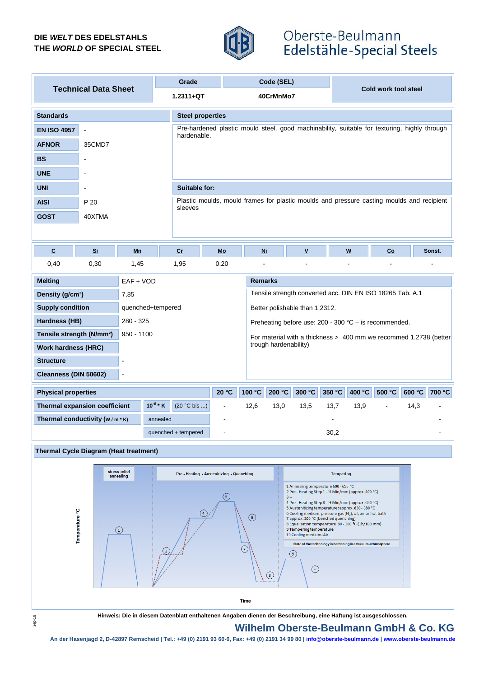## **DIE** *WELT* **DES EDELSTAHLS THE** *WORLD* **OF SPECIAL STEEL**



# Oberste-Beulmann Edelstähle-Special Steels

| <b>Technical Data Sheet</b>                           |                          |                                           | Grade                                                                                                |                                                                                                             |                                                                                              | Code (SEL)                                                                                                                                                          |                       |                                                                                                                                                                         |        |                           |        |      |        |  |
|-------------------------------------------------------|--------------------------|-------------------------------------------|------------------------------------------------------------------------------------------------------|-------------------------------------------------------------------------------------------------------------|----------------------------------------------------------------------------------------------|---------------------------------------------------------------------------------------------------------------------------------------------------------------------|-----------------------|-------------------------------------------------------------------------------------------------------------------------------------------------------------------------|--------|---------------------------|--------|------|--------|--|
|                                                       |                          |                                           |                                                                                                      | $1.2311 + QT$<br>40CrMnMo7                                                                                  |                                                                                              |                                                                                                                                                                     |                       |                                                                                                                                                                         |        | Cold work tool steel      |        |      |        |  |
| <b>Standards</b>                                      |                          | <b>Steel properties</b>                   |                                                                                                      |                                                                                                             |                                                                                              |                                                                                                                                                                     |                       |                                                                                                                                                                         |        |                           |        |      |        |  |
| <b>EN ISO 4957</b>                                    | $\blacksquare$           |                                           |                                                                                                      | Pre-hardened plastic mould steel, good machinability, suitable for texturing, highly through<br>hardenable. |                                                                                              |                                                                                                                                                                     |                       |                                                                                                                                                                         |        |                           |        |      |        |  |
| <b>AFNOR</b>                                          | 35CMD7                   |                                           |                                                                                                      |                                                                                                             |                                                                                              |                                                                                                                                                                     |                       |                                                                                                                                                                         |        |                           |        |      |        |  |
| <b>BS</b>                                             | $\overline{\phantom{a}}$ |                                           |                                                                                                      |                                                                                                             |                                                                                              |                                                                                                                                                                     |                       |                                                                                                                                                                         |        |                           |        |      |        |  |
| <b>UNE</b>                                            |                          |                                           |                                                                                                      |                                                                                                             |                                                                                              |                                                                                                                                                                     |                       |                                                                                                                                                                         |        |                           |        |      |        |  |
| <b>UNI</b>                                            | $\overline{a}$           |                                           |                                                                                                      | <b>Suitable for:</b>                                                                                        |                                                                                              |                                                                                                                                                                     |                       |                                                                                                                                                                         |        |                           |        |      |        |  |
| <b>AISI</b>                                           | P 20                     |                                           | Plastic moulds, mould frames for plastic moulds and pressure casting moulds and recipient<br>sleeves |                                                                                                             |                                                                                              |                                                                                                                                                                     |                       |                                                                                                                                                                         |        |                           |        |      |        |  |
| <b>GOST</b>                                           | 40XFMA                   |                                           |                                                                                                      |                                                                                                             |                                                                                              |                                                                                                                                                                     |                       |                                                                                                                                                                         |        |                           |        |      |        |  |
|                                                       |                          |                                           |                                                                                                      |                                                                                                             |                                                                                              |                                                                                                                                                                     |                       |                                                                                                                                                                         |        |                           |        |      |        |  |
| $\overline{c}$                                        | Si                       | Mn                                        | Cr                                                                                                   |                                                                                                             | $Mo$                                                                                         | $Mi$                                                                                                                                                                |                       | $\underline{\mathsf{v}}$                                                                                                                                                |        | $\boldsymbol{\mathsf{W}}$ | Co     |      | Sonst. |  |
| 0,40                                                  | 0,30                     | 1,45                                      | 1,95                                                                                                 |                                                                                                             | 0,20                                                                                         | ä,                                                                                                                                                                  |                       |                                                                                                                                                                         |        |                           |        |      |        |  |
| <b>Melting</b>                                        |                          | EAF + VOD                                 |                                                                                                      | <b>Remarks</b>                                                                                              |                                                                                              |                                                                                                                                                                     |                       |                                                                                                                                                                         |        |                           |        |      |        |  |
| Density (g/cm <sup>3</sup> )                          |                          |                                           |                                                                                                      |                                                                                                             | Tensile strength converted acc. DIN EN ISO 18265 Tab. A.1                                    |                                                                                                                                                                     |                       |                                                                                                                                                                         |        |                           |        |      |        |  |
| <b>Supply condition</b>                               | quenched+tempered        | Better polishable than 1.2312.            |                                                                                                      |                                                                                                             |                                                                                              |                                                                                                                                                                     |                       |                                                                                                                                                                         |        |                           |        |      |        |  |
| Hardness (HB)                                         |                          | 280 - 325                                 |                                                                                                      | Preheating before use: $200 - 300$ °C – is recommended.                                                     |                                                                                              |                                                                                                                                                                     |                       |                                                                                                                                                                         |        |                           |        |      |        |  |
| Tensile strength (N/mm <sup>2</sup> )<br>$950 - 1100$ |                          |                                           |                                                                                                      | For material with a thickness > 400 mm we recommed 1.2738 (better                                           |                                                                                              |                                                                                                                                                                     |                       |                                                                                                                                                                         |        |                           |        |      |        |  |
| <b>Work hardness (HRC)</b>                            |                          |                                           |                                                                                                      |                                                                                                             |                                                                                              |                                                                                                                                                                     | trough hardenability) |                                                                                                                                                                         |        |                           |        |      |        |  |
| <b>Structure</b>                                      |                          | $\overline{a}$                            |                                                                                                      |                                                                                                             |                                                                                              |                                                                                                                                                                     |                       |                                                                                                                                                                         |        |                           |        |      |        |  |
| Cleanness (DIN 50602)<br>L.                           |                          |                                           |                                                                                                      |                                                                                                             |                                                                                              |                                                                                                                                                                     |                       |                                                                                                                                                                         |        |                           |        |      |        |  |
| <b>Physical properties</b>                            |                          |                                           | 20 °C                                                                                                | 100 °C                                                                                                      | 200 °C                                                                                       | 300 °C                                                                                                                                                              | 350 °C                | 400 °C                                                                                                                                                                  | 500 °C | 600 °C                    | 700 °C |      |        |  |
| $10^{-6}$ * K<br><b>Thermal expansion coefficient</b> |                          |                                           | $(20 °C$ bis )                                                                                       |                                                                                                             | $\overline{a}$                                                                               | 12,6                                                                                                                                                                | 13,0                  | 13,5                                                                                                                                                                    | 13,7   | 13,9                      |        | 14,3 |        |  |
| Thermal conductivity (W/m*K)<br>annealed              |                          |                                           |                                                                                                      |                                                                                                             |                                                                                              |                                                                                                                                                                     |                       |                                                                                                                                                                         |        |                           |        |      |        |  |
|                                                       |                          |                                           | quenched + tempered                                                                                  |                                                                                                             |                                                                                              |                                                                                                                                                                     |                       |                                                                                                                                                                         | 30,2   |                           |        |      |        |  |
| <b>Thermal Cycle Diagram (Heat treatment)</b>         |                          |                                           |                                                                                                      |                                                                                                             |                                                                                              |                                                                                                                                                                     |                       |                                                                                                                                                                         |        |                           |        |      |        |  |
|                                                       |                          | Pre - Heating - Austenitizing - Quenching |                                                                                                      |                                                                                                             |                                                                                              |                                                                                                                                                                     | <b>Tempering</b>      |                                                                                                                                                                         |        |                           |        |      |        |  |
|                                                       |                          |                                           |                                                                                                      |                                                                                                             | 1 Annealing temperature 600 - 650 °C<br>2 Pre - Heating Step 1 - 1/2 Min/mm (approx. 400 °C) |                                                                                                                                                                     |                       |                                                                                                                                                                         |        |                           |        |      |        |  |
|                                                       |                          |                                           | $\mathfrak{s}$<br>$3 -$<br>4 Pre - Heating Step 3 - 1/2 Min/mm (approx. 650 °C)                      |                                                                                                             |                                                                                              |                                                                                                                                                                     |                       |                                                                                                                                                                         |        |                           |        |      |        |  |
|                                                       |                          | $\circled{6}$                             |                                                                                                      |                                                                                                             |                                                                                              | 5 Austenitizing temperature: approx. 830 - 880 °C<br>6 Cooling medium: pressure gas (N <sub>2</sub> ), oil, air or hot bath<br>7 approx. 200 °C (benched quenching) |                       |                                                                                                                                                                         |        |                           |        |      |        |  |
| Temperature <sup>°C</sup><br>(1)                      |                          |                                           |                                                                                                      | 7                                                                                                           |                                                                                              |                                                                                                                                                                     |                       | 8 Equalisation temperature 80 - 100 °C (1h/100 mm)<br>9 Tempering temperature<br>10 Cooling medium: Air<br>State of the technology is hardening in a vakuum-athmosphere |        |                           |        |      |        |  |
|                                                       |                          |                                           |                                                                                                      |                                                                                                             |                                                                                              |                                                                                                                                                                     |                       |                                                                                                                                                                         |        |                           |        |      |        |  |
|                                                       |                          |                                           |                                                                                                      | $\bigodot$<br>$\circled{3}$                                                                                 |                                                                                              |                                                                                                                                                                     |                       |                                                                                                                                                                         |        |                           |        |      |        |  |
|                                                       |                          |                                           |                                                                                                      |                                                                                                             |                                                                                              |                                                                                                                                                                     |                       |                                                                                                                                                                         |        |                           |        |      |        |  |



**Hinweis: Die in diesem Datenblatt enthaltenen Angaben dienen der Beschreibung, eine Haftung ist ausgeschlossen.**

## **Wilhelm Oberste-Beulmann GmbH & Co. KG**

**An der Hasenjagd 2, D-42897 Remscheid | Tel.: +49 (0) 2191 93 60-0, Fax: +49 (0) 2191 34 99 80 | info@oberste-beulmann.de | www.oberste-beulmann.de**